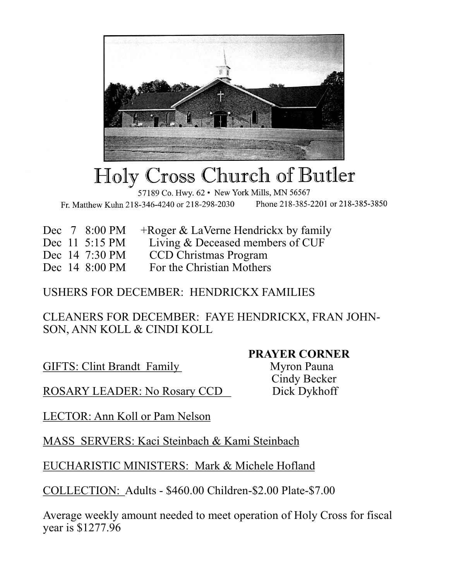

## Holy Cross Church of Butler

57189 Co. Hwy. 62 · New York Mills, MN 56567 Phone 218-385-2201 or 218-385-3850 Fr. Matthew Kuhn 218-346-4240 or 218-298-2030

- Dec 7 8:00 PM + Roger & LaVerne Hendrickx by family
- Dec 11 5:15 PM Living & Deceased members of CUF
- Dec 14 7:30 PM CCD Christmas Program
- Dec 14 8:00 PM For the Christian Mothers

## USHERS FOR DECEMBER: HENDRICKX FAMILIES

CLEANERS FOR DECEMBER: FAYE HENDRICKX, FRAN JOHN-SON, ANN KOLL & CINDI KOLL

GIFTS: Clint Brandt Family Myron Pauna

## **PRAYER CORNER**

Cindy Becker

ROSARY LEADER: No Rosary CCD Dick Dykhoff

LECTOR: Ann Koll or Pam Nelson

MASS SERVERS: Kaci Steinbach & Kami Steinbach

EUCHARISTIC MINISTERS: Mark & Michele Hofland

COLLECTION: Adults - \$460.00 Children-\$2.00 Plate-\$7.00

Average weekly amount needed to meet operation of Holy Cross for fiscal year is \$1277.96